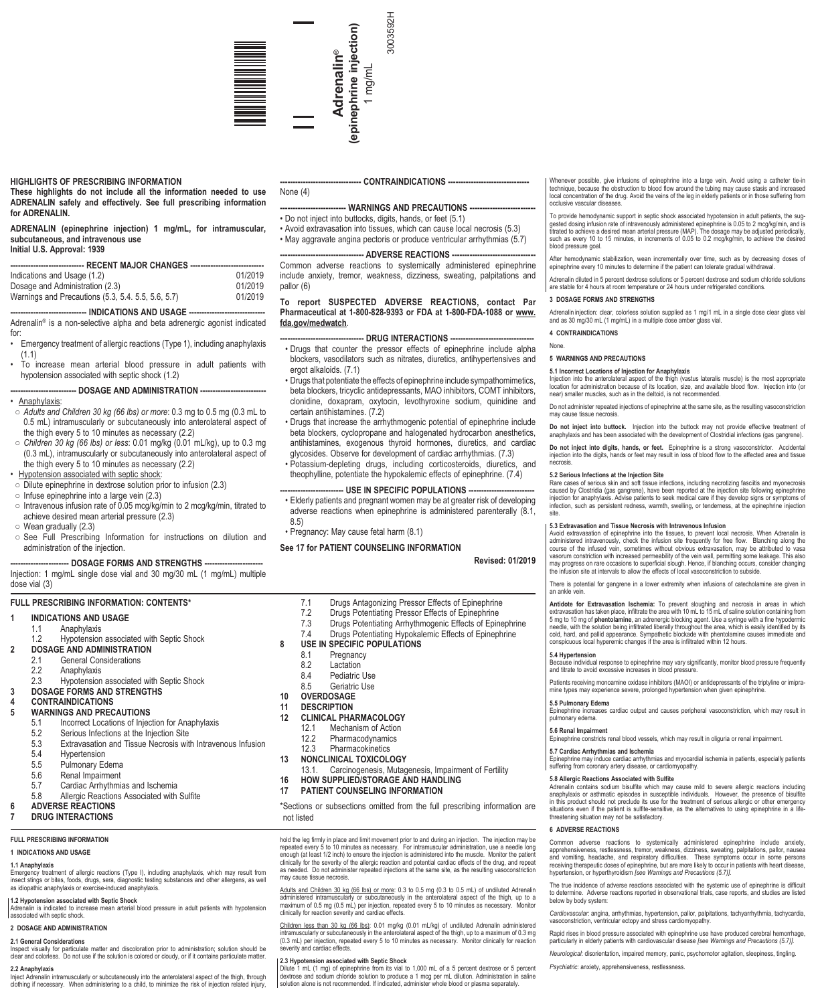

### **HIGHLIGHTS OF PRESCRIBING INFORMATION**

**These highlights do not include all the information needed to use ADRENALIN safely and effectively. See full prescribing information for ADRENALIN.**

**ADRENALIN (epinephrine injection) 1 mg/mL, for intramuscular, subcutaneous, and intravenous use Initial U.S. Approval: 1939**

| ----------------------------- RECENT MAJOR CHANGES ----------------------------- |         |  |  |  |
|----------------------------------------------------------------------------------|---------|--|--|--|
| Indications and Usage (1.2)                                                      | 01/2019 |  |  |  |
| Dosage and Administration (2.3)                                                  | 01/2019 |  |  |  |
| Warnings and Precautions (5.3, 5.4, 5.5, 5.6, 5.7)                               | 01/2019 |  |  |  |

- INDICATIONS AND USAGE --Adrenalin® is a non-selective alpha and beta adrenergic agonist indicated

- for: • Emergency treatment of allergic reactions (Type 1), including anaphylaxis (1.1)
- To increase mean arterial blood pressure in adult patients with hypotension associated with septic shock (1.2)

### --- DOSAGE AND ADMINISTRATION ----

• Anaphylaxis:

- *Adults and Children 30 kg (66 lbs) or more*: 0.3 mg to 0.5 mg (0.3 mL to 0.5 mL) intramuscularly or subcutaneously into anterolateral aspect of the thigh every 5 to 10 minutes as necessary (2.2)
- *Children 30 kg (66 lbs) or less*: 0.01 mg/kg (0.01 mL/kg), up to 0.3 mg (0.3 mL), intramuscularly or subcutaneously into anterolateral aspect of the thigh every 5 to 10 minutes as necessary (2.2)
- Hypotension associated with septic shock:
- Dilute epinephrine in dextrose solution prior to infusion (2.3)
- $\circ$  Infuse epinephrine into a large vein (2.3)
- $\circ$  Intravenous infusion rate of 0.05 mcg/kg/min to 2 mcg/kg/min, titrated to achieve desired mean arterial pressure (2.3)
- Wean gradually (2.3)
- See Full Prescribing Information for instructions on dilution and administration of the injection.

### -- DOSAGE FORMS AND STRENGTHS --

Injection: 1 mg/mL single dose vial and 30 mg/30 mL (1 mg/mL) multiple dose vial (3)

### **FULL PRESCRIBING INFORMATION: CONTENTS\***

|  |  |  | <b>INDICATIONS AND USAGE</b> |
|--|--|--|------------------------------|
|  |  |  |                              |

| I . I          | Anaphylaxis          |
|----------------|----------------------|
| $\overline{ }$ | المتحاج متحقم متنالل |

- 1.2 Hypotension associated with Septic Shock **2 DOSAGE AND ADMINISTRATION** 2.1 General Considerations<br>2.2 Anaphylaxis **Anaphylaxis** 2.3 Hypotension associated with Septic Shock **3 DOSAGE FORMS AND STRENGTHS 4 CONTRAINDICATIONS WARNINGS AND PRECAUTIONS**<br>5.1 **Incorrect Locations of Injec** 5.1 Incorrect Locations of Injection for Anaphylaxis<br>5.2 Serious Infections at the Injection Site 5.2 Serious Infections at the Injection Site<br>5.3 Extravasation and Tissue Necrosis with Extravasation and Tissue Necrosis with Intravenous Infusion 5.4 Hypertension<br>5.5 Pulmonary Fd Pulmonary Edema 5.6 Renal Impairment<br>5.7 Cardiac Arrhythmi 5.7 Cardiac Arrhythmias and Ischemia
	-
	- 5.8 Allergic Reactions Associated with Sulfite

# **6 ADVERSE REACTIONS**

# **7 DRUG INTERACTIONS**

**FULL PRESCRIBING INFORMATION**

### **1 INDICATIONS AND USAGE**

# **1.1 Anaphylaxis**

Emergency treatment of allergic reactions (Type I), including anaphylaxis, which may result from insect stings or bites, foods, drugs, sera, diagnostic testing substances and other allergens, as well as idiopathic anaphylaxis or exercise-induced anaphylaxis.

### **1.2 Hypotension associated with Septic Shock**

Adrenalin is indicated to increase mean arterial blood pressure in adult patients with hypotension associated with septic shock.

# **2 DOSAGE AND ADMINISTRATION**

**2.1 General Considerations** Inspect visually for particulate matter and discoloration prior to administration; solution should be clear and colorless. Do not use if the solution is colored or cloudy, or if it contains particulate matter.

### **2.2 Anaphylaxis**

Inject Adrenalin intramuscularly or subcutaneously into the anterolateral aspect of the thigh, through clothing if necessary. When administering to a child, to minimize the risk of injection related injury,

## --- CONTRAINDICATIONS ---

3003592H

3003592H

None (4)

### **WARNINGS AND PRECAUTIONS --**• Do not inject into buttocks, digits, hands, or feet (5.1)

• Avoid extravasation into tissues, which can cause local necrosis (5.3) • May aggravate angina pectoris or produce ventricular arrhythmias (5.7)

### --- ADVERSE REACTIONS -

Common adverse reactions to systemically administered epinephrine include anxiety, tremor, weakness, dizziness, sweating, palpitations and pallor (6)

### **To report SUSPECTED ADVERSE REACTIONS, contact Par Pharmaceutical at 1-800-828-9393 or FDA at 1-800-FDA-1088 or www. fda.gov/medwatch**.

### **---- DRUG INTERACTIONS --**

- Drugs that counter the pressor effects of epinephrine include alpha blockers, vasodilators such as nitrates, diuretics, antihypertensives and ergot alkaloids. (7.1)
- Drugs that potentiate the effects of epinephrine include sympathomimetics, beta blockers, tricyclic antidepressants, MAO inhibitors, COMT inhibitors, clonidine, doxapram, oxytocin, levothyroxine sodium, quinidine and certain antihistamines. (7.2)
- Drugs that increase the arrhythmogenic potential of epinephrine include beta blockers, cyclopropane and halogenated hydrocarbon anesthetics, antihistamines, exogenous thyroid hormones, diuretics, and cardiac glycosides. Observe for development of cardiac arrhythmias. (7.3)
- Potassium-depleting drugs, including corticosteroids, diuretics, and theophylline, potentiate the hypokalemic effects of epinephrine. (7.4)

## --- USE IN SPECIFIC POPULATIONS ---

• Elderly patients and pregnant women may be at greater risk of developing adverse reactions when epinephrine is administered parenterally (8.1, 8.5)

• Pregnancy: May cause fetal harm (8.1)

### **See 17 for PATIENT COUNSELING INFORMATION**

# **Revised: 01/2019**

- 7.1 Drugs Antagonizing Pressor Effects of Epinephrine<br>7.2 Drugs Potentiating Pressor Effects of Epinephrine
- 
- 7.2 Drugs Potentiating Pressor Effects of Epinephrine
- 7.3 Drugs Potentiating Arrhythmogenic Effects of Epinephrine
- Drugs Potentiating Hypokalemic Effects of Epinephrine

# **8 USE IN SPECIFIC POPULATIONS**<br>8.1 **Pregnancy**

- 8.1 Pregnancy<br>8.2 Lactation
- 8.2 Lactation<br>8.4 Pediatric
- 8.4 Pediatric Use<br>8.5 Geriatric Use
- Geriatric Use

## **10 OVERDOSAGE**

# **11 DESCRIPTION**

- **12 CLINICAL PHARMACOLOGY**
- 12.1 Mechanism of Action<br>12.2 Pharmacodynamics
- 
- 12.2 Pharmacodynamics<br>12.3 Pharmacokinetics **Pharmacokinetics**
- 
- **13 NONCLINICAL TOXICOLOGY** Carcinogenesis, Mutagenesis, Impairment of Fertility
	-
- **16 HOW SUPPLIED/STORAGE AND HANDLING 17 PATIENT COUNSELING INFORMATION**

\*Sections or subsections omitted from the full prescribing information are not listed

hold the leg firmly in place and limit movement prior to and during an injection. The injection may be repeated every 5 to 10 minutes as necessary. For intramuscular administration, use a needle long enough (at least 1/2 inch) to ensure the injection is administered into the muscle. Monitor the patient<br>clinically for the severity of the allergic reaction and potential cardiac effects of the drug, and repeat<br>as needed. may cause tissue necrosis.

Adults and Children 30 kg (66 lbs) or more: 0.3 to 0.5 mg (0.3 to 0.5 mL) of undiluted Adrenalin administered intramuscularly or subcutaneously in the anterolateral aspect of the thigh, up to a<br>maximum of 0.5 mg (0.5 mL) per injection, repeated every 5 to 10 minutes as necessary. Monitor<br>clinically for reaction severi

Children. less. than 30. kg (66. lbs): 0.01 mg/kg (0.01 mL/kg) of undiluted Adrenalin administered<br>intramuscularly or subcutaneously in the anterolateral aspect of the thigh, up to a maximum of 0.3 mg<br>(0.3 mL) per injectio severity and cardiac effects.

2.3 Hypotension associated with Septic Shock<br>Dilute 1 mL (1 mg) of epinephrine from its vial to 1,000 mL of a 5 percent dextrose or 5 percent<br>dextrose and sodium chloride solution to produce a 1 mcg per mL dilution. Admini

Whenever possible, give infusions of epinephrine into a large vein. Avoid using a catheter tie-in technique, because the obstruction to blood flow around the tubing may cause stasis and increased local concentration of the drug. Avoid the veins of the leg in elderly patients or in those suffering from occlusive vascular dise<br>occlusive vascular dise

To provide hemodynamic support in septic shock associated hypotension in adult patients, the sug-<br>gested dosing infusion rate of intravenously administered epinephrine is 0.05 to 2 mcg/kg/min, and is<br>titrated to achieve a such as every 10 to 15 minutes, in increments of 0.05 to 0.2 mcg/kg/min, to achieve the desired blood pressure goal.

After hemodynamic stabilization, wean incrementally over time, such as by decreasing doses of epinephrine every 10 minutes to determine if the patient can tolerate gradual withdrawal.

Adrenalin diluted in 5 percent dextrose solutions or 5 percent dextrose and sodium chloride solutions<br>are stable for 4 hours at room temperature or 24 hours under refrigerated conditions.

### **3 DOSAGE FORMS AND STRENGTHS**

Adrenalin injection: clear, colorless solution supplied as 1 mg/1 mL in a single dose clear glass vial and as 30 mg/30 mL (1 mg/mL) in a multiple dose amber glass vial. **4 CONTRAINDICATIONS**

### None.

### **5 WARNINGS AND PRECAUTIONS**

### **5.1 Incorrect Locations of Injection for Anaphylaxis**

Injection into the anterolateral aspect of the thigh (vastus lateralis muscle) is the most appropriate location for administration because of its location, size, and available blood flow. Injection into (or near) smaller muscles, such as in the deltoid, is not recommended.

Do not administer repeated injections of epinephrine at the same site, as the resulting vasoconstriction manumenten<br>necrosis

**Do not inject into buttock.** Injection into the buttock may not provide effective treatment of anaphylaxis and has been associated with the development of Clostridial infections (gas gangrene).

**Do not inject into digits, hands, or feet.** Epinephrine is a strong vasoconstrictor. Accidental injection into the digits, hands or feet may result in loss of blood flow to the affected area and tissue necrosis.

**5.4 Hypertension**

**5.5 Pulmonary Edema**

**6 ADVERSE REACTIONS**

**5.7 Cardiac Arrhythmias and Ischemia**

**5.8 Allergic Reactions Associated with Sulfite**

*Psychiatric*: anxiety, apprehensiveness, restlessness.

pulmonary edema. **5.6 Renal Impairment**

**5.2 Serious Infections at the Injection Site** Rare cases of serious skin and soft tissue infections, including necrotizing fasciitis and myonecrosis caused by Clostridia (gas gangrene), have been reported at the injection site following epinephrine<br>injection for anaphylaxis. Advise patients to seek medical care if they develop signs or symptoms of<br>infection, such as pe site.

### **5.3 Extravasation and Tissue Necrosis with Intravenous Infusion**

Avoid extravasation of epinephrine into the tissues, to prevent local necrosis. When Adrenalin is<br>administered intravenously, check the infusion site frequently for free flow. Blanching along the<br>course of the infused vein may progress on rare occasions to superficial slough. Hence, if blanching occurs, consider changing the infusion site at intervals to allow the effects of local vasoconstriction to subside.

There is potential for gangrene in a lower extremity when infusions of catecholamine are given in an ankle veir

Antidote for Extravasation Ischemia: To prevent sloughing and necrosis in areas in which<br>extravasation has taken place, infiltrate the area with 10 mL to 15 mL of saline solution containing from<br>5 mg to 10 mg of phentolami cold, hard, and pallid appearance. Sympathetic blockade with phentolamine causes immediate and conspicuous local hyperemic changes if the area is infiltrated within 12 hours.

Because individual response to epinephrine may vary significantly, monitor blood pressure frequently and titrate to avoid excessive increases in blood pressure. Patients receiving monoamine oxidase inhibitors (MAOI) or antidepressants of the triptyline or imipramine types may experience severe, prolonged hypertension when given epinephrine.

Epinephrine increases cardiac output and causes peripheral vasoconstriction, which may result in

Epinephrine may induce cardiac arrhythmias and myocardial ischemia in patients, especially patients suffering from coronary artery disease, or cardiomyopathy.

Adrenalin contains sodium bisulfite which may cause mild to severe allergic reactions including anaphylaxis or asthmatic episodes in susceptible individuals. However, the presence of bisulfite in this product should not preclude its use for the treatment of serious allergic or other emergency<br>situations even if the patient is sulfite-sensitive, as the alternatives to using epinephrine in a life-<br>threatening situ

Common adverse reactions to systemically administered epinephrine include anxiety,<br>apprehensiveness, restlessness, tremor, weakness, dizziness, sweating, palpitations, pallor, nausea<br>and vomiting, headache, and respiratry

The true incidence of adverse reactions associated with the systemic use of epinephrine is difficult<br>to determine. Adverse reactions reported in observational trials, case reports, and studies are listed<br>below by body sys

*Cardiovascular*: angina, arrhythmias, hypertension, pallor, palpitations, tachyarrhythmia, tachycardia, vasoconstriction, ventricular ectopy and stress cardiomyopathy. Rapid rises in blood pressure associated with epinephrine use have produced cerebral hem particularly in elderly patients with cardiovascular disease *[see Warnings and Precautions (5.7)]*. *Neurological*: disorientation, impaired memory, panic, psychomotor agitation, sleepiness, tingling.

hypertension, or hyperthyroidism *[see Warnings and Precautions (5.7)]*.

Epinephrine constricts renal blood vessels, which may result in oliguria or renal impairment.